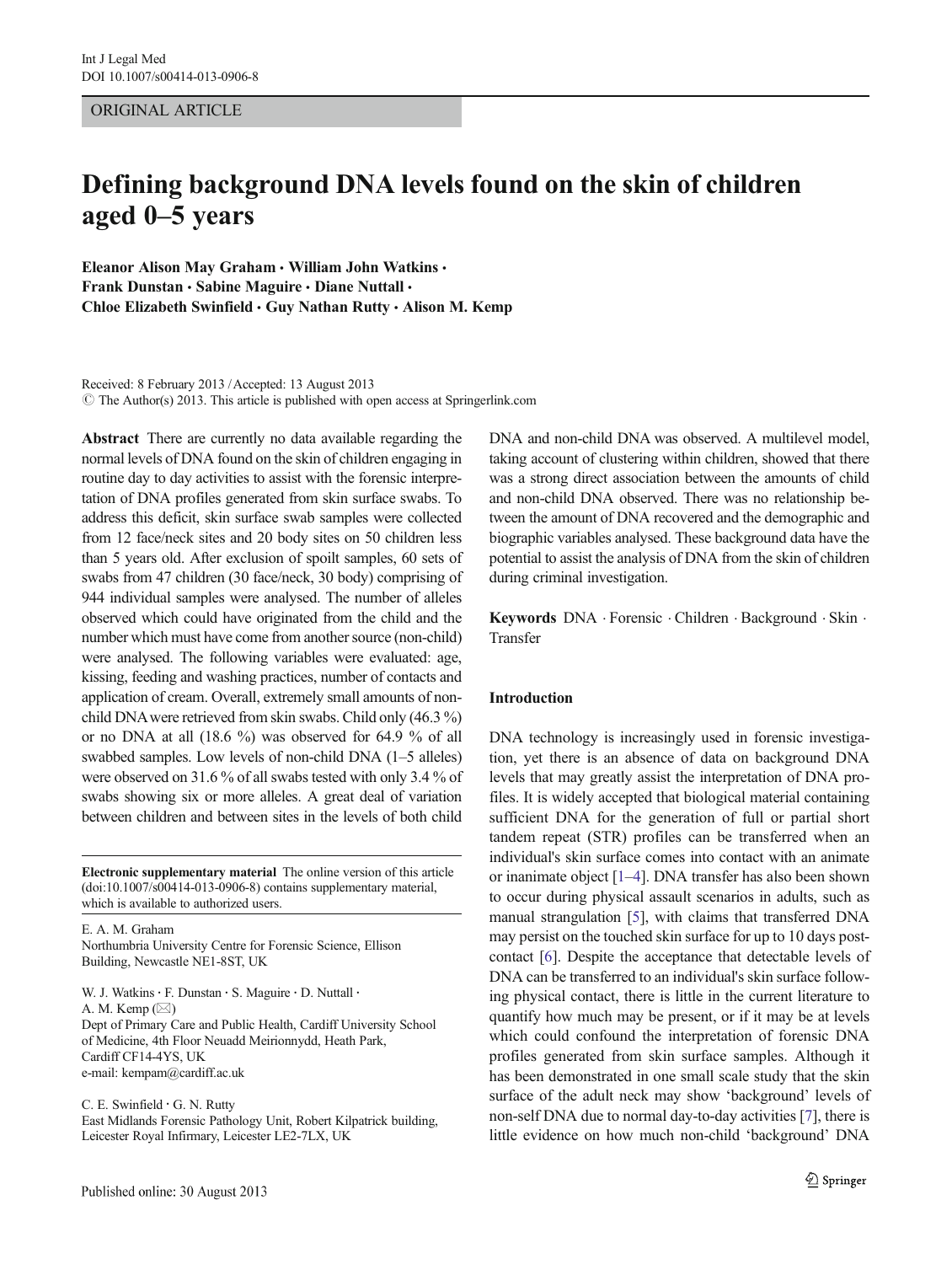# ORIGINAL ARTICLE

# Defining background DNA levels found on the skin of children aged 0–5 years

Eleanor Alison May Graham • William John Watkins • Frank Dunstan · Sabine Maguire · Diane Nuttall · Chloe Elizabeth Swinfield • Guy Nathan Rutty • Alison M. Kemp

Received: 8 February 2013 /Accepted: 13 August 2013  $\odot$  The Author(s) 2013. This article is published with open access at Springerlink.com

Abstract There are currently no data available regarding the normal levels of DNA found on the skin of children engaging in routine day to day activities to assist with the forensic interpretation of DNA profiles generated from skin surface swabs. To address this deficit, skin surface swab samples were collected from 12 face/neck sites and 20 body sites on 50 children less than 5 years old. After exclusion of spoilt samples, 60 sets of swabs from 47 children (30 face/neck, 30 body) comprising of 944 individual samples were analysed. The number of alleles observed which could have originated from the child and the number which must have come from another source (non-child) were analysed. The following variables were evaluated: age, kissing, feeding and washing practices, number of contacts and application of cream. Overall, extremely small amounts of nonchild DNAwere retrieved from skin swabs. Child only (46.3 %) or no DNA at all (18.6 %) was observed for 64.9 % of all swabbed samples. Low levels of non-child DNA (1–5 alleles) were observed on 31.6 % of all swabs tested with only 3.4 % of swabs showing six or more alleles. A great deal of variation between children and between sites in the levels of both child

Electronic supplementary material The online version of this article (doi[:10.1007/s00414-013-0906-8](http://dx.doi.org/10.1007/s00414-013-0906-8)) contains supplementary material, which is available to authorized users.

E. A. M. Graham Northumbria University Centre for Forensic Science, Ellison Building, Newcastle NE1-8ST, UK

W. J. Watkins · F. Dunstan · S. Maguire · D. Nuttall · A. M. Kemp  $(\boxtimes)$ Dept of Primary Care and Public Health, Cardiff University School of Medicine, 4th Floor Neuadd Meirionnydd, Heath Park, Cardiff CF14-4YS, UK e-mail: kempam@cardiff.ac.uk

C. E. Swinfield · G. N. Rutty East Midlands Forensic Pathology Unit, Robert Kilpatrick building, Leicester Royal Infirmary, Leicester LE2-7LX, UK

DNA and non-child DNA was observed. A multilevel model, taking account of clustering within children, showed that there was a strong direct association between the amounts of child and non-child DNA observed. There was no relationship between the amount of DNA recovered and the demographic and biographic variables analysed. These background data have the potential to assist the analysis of DNA from the skin of children during criminal investigation.

Keywords DNA . Forensic . Children . Background . Skin . Transfer

# Introduction

DNA technology is increasingly used in forensic investigation, yet there is an absence of data on background DNA levels that may greatly assist the interpretation of DNA profiles. It is widely accepted that biological material containing sufficient DNA for the generation of full or partial short tandem repeat (STR) profiles can be transferred when an individual's skin surface comes into contact with an animate or inanimate object [\[1](#page-6-0)–[4\]](#page-6-0). DNA transfer has also been shown to occur during physical assault scenarios in adults, such as manual strangulation [[5](#page-6-0)], with claims that transferred DNA may persist on the touched skin surface for up to 10 days postcontact [[6\]](#page-6-0). Despite the acceptance that detectable levels of DNA can be transferred to an individual's skin surface following physical contact, there is little in the current literature to quantify how much may be present, or if it may be at levels which could confound the interpretation of forensic DNA profiles generated from skin surface samples. Although it has been demonstrated in one small scale study that the skin surface of the adult neck may show 'background' levels of non-self DNA due to normal day-to-day activities [[7](#page-6-0)], there is little evidence on how much non-child 'background' DNA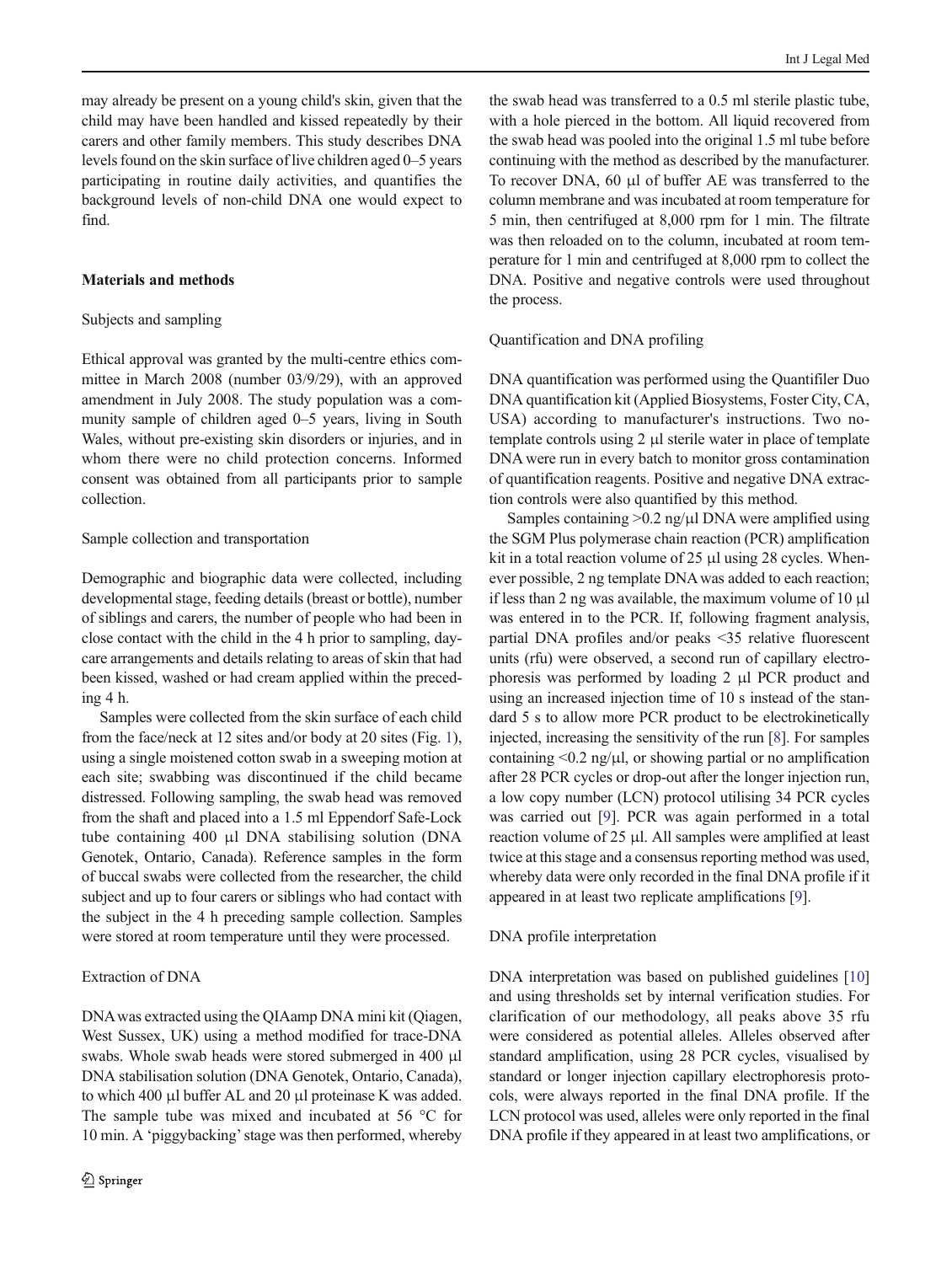may already be present on a young child's skin, given that the child may have been handled and kissed repeatedly by their carers and other family members. This study describes DNA levels found on the skin surface of live children aged 0–5 years participating in routine daily activities, and quantifies the background levels of non-child DNA one would expect to find.

# Materials and methods

# Subjects and sampling

Ethical approval was granted by the multi-centre ethics committee in March 2008 (number 03/9/29), with an approved amendment in July 2008. The study population was a community sample of children aged 0–5 years, living in South Wales, without pre-existing skin disorders or injuries, and in whom there were no child protection concerns. Informed consent was obtained from all participants prior to sample collection.

# Sample collection and transportation

Demographic and biographic data were collected, including developmental stage, feeding details (breast or bottle), number of siblings and carers, the number of people who had been in close contact with the child in the 4 h prior to sampling, daycare arrangements and details relating to areas of skin that had been kissed, washed or had cream applied within the preceding 4 h.

Samples were collected from the skin surface of each child from the face/neck at 12 sites and/or body at 20 sites (Fig. [1\)](#page-2-0), using a single moistened cotton swab in a sweeping motion at each site; swabbing was discontinued if the child became distressed. Following sampling, the swab head was removed from the shaft and placed into a 1.5 ml Eppendorf Safe-Lock tube containing 400 μl DNA stabilising solution (DNA Genotek, Ontario, Canada). Reference samples in the form of buccal swabs were collected from the researcher, the child subject and up to four carers or siblings who had contact with the subject in the 4 h preceding sample collection. Samples were stored at room temperature until they were processed.

# Extraction of DNA

DNAwas extracted using the QIAamp DNA mini kit (Qiagen, West Sussex, UK) using a method modified for trace-DNA swabs. Whole swab heads were stored submerged in 400 μl DNA stabilisation solution (DNA Genotek, Ontario, Canada), to which 400 μl buffer AL and 20 μl proteinase K was added. The sample tube was mixed and incubated at 56 °C for 10 min. A 'piggybacking'stage was then performed, whereby

the swab head was transferred to a 0.5 ml sterile plastic tube, with a hole pierced in the bottom. All liquid recovered from the swab head was pooled into the original 1.5 ml tube before continuing with the method as described by the manufacturer. To recover DNA, 60 μl of buffer AE was transferred to the column membrane and was incubated at room temperature for 5 min, then centrifuged at 8,000 rpm for 1 min. The filtrate was then reloaded on to the column, incubated at room temperature for 1 min and centrifuged at 8,000 rpm to collect the DNA. Positive and negative controls were used throughout the process.

#### Quantification and DNA profiling

DNA quantification was performed using the Quantifiler Duo DNA quantification kit (Applied Biosystems, Foster City, CA, USA) according to manufacturer's instructions. Two notemplate controls using 2 μl sterile water in place of template DNA were run in every batch to monitor gross contamination of quantification reagents. Positive and negative DNA extraction controls were also quantified by this method.

Samples containing  $>0.2$  ng/ $\mu$ l DNA were amplified using the SGM Plus polymerase chain reaction (PCR) amplification kit in a total reaction volume of 25 μl using 28 cycles. Whenever possible, 2 ng template DNA was added to each reaction; if less than 2 ng was available, the maximum volume of 10 μl was entered in to the PCR. If, following fragment analysis, partial DNA profiles and/or peaks <35 relative fluorescent units (rfu) were observed, a second run of capillary electrophoresis was performed by loading 2 μl PCR product and using an increased injection time of 10 s instead of the standard 5 s to allow more PCR product to be electrokinetically injected, increasing the sensitivity of the run [\[8\]](#page-6-0). For samples containing  $\leq 0.2$  ng/ $\mu$ , or showing partial or no amplification after 28 PCR cycles or drop-out after the longer injection run, a low copy number (LCN) protocol utilising 34 PCR cycles was carried out [\[9](#page-6-0)]. PCR was again performed in a total reaction volume of 25 μl. All samples were amplified at least twice at this stage and a consensus reporting method was used, whereby data were only recorded in the final DNA profile if it appeared in at least two replicate amplifications [\[9](#page-6-0)].

#### DNA profile interpretation

DNA interpretation was based on published guidelines [\[10](#page-6-0)] and using thresholds set by internal verification studies. For clarification of our methodology, all peaks above 35 rfu were considered as potential alleles. Alleles observed after standard amplification, using 28 PCR cycles, visualised by standard or longer injection capillary electrophoresis protocols, were always reported in the final DNA profile. If the LCN protocol was used, alleles were only reported in the final DNA profile if they appeared in at least two amplifications, or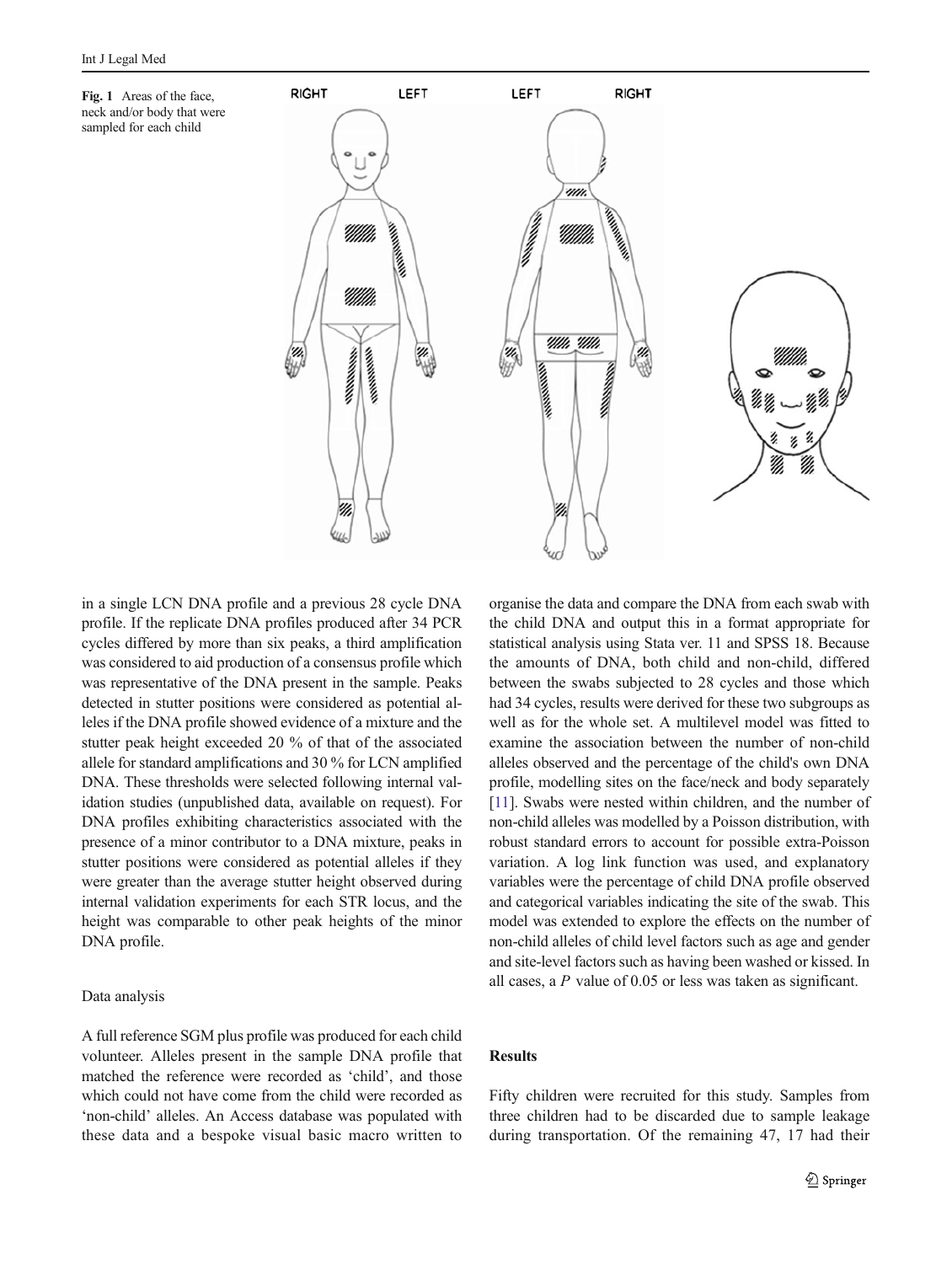<span id="page-2-0"></span>



in a single LCN DNA profile and a previous 28 cycle DNA profile. If the replicate DNA profiles produced after 34 PCR cycles differed by more than six peaks, a third amplification was considered to aid production of a consensus profile which was representative of the DNA present in the sample. Peaks detected in stutter positions were considered as potential alleles if the DNA profile showed evidence of a mixture and the stutter peak height exceeded 20 % of that of the associated allele for standard amplifications and 30 % for LCN amplified DNA. These thresholds were selected following internal validation studies (unpublished data, available on request). For DNA profiles exhibiting characteristics associated with the presence of a minor contributor to a DNA mixture, peaks in stutter positions were considered as potential alleles if they were greater than the average stutter height observed during internal validation experiments for each STR locus, and the height was comparable to other peak heights of the minor DNA profile.

#### Data analysis

A full reference SGM plus profile was produced for each child volunteer. Alleles present in the sample DNA profile that matched the reference were recorded as 'child', and those which could not have come from the child were recorded as 'non-child' alleles. An Access database was populated with these data and a bespoke visual basic macro written to organise the data and compare the DNA from each swab with the child DNA and output this in a format appropriate for statistical analysis using Stata ver. 11 and SPSS 18. Because the amounts of DNA, both child and non-child, differed between the swabs subjected to 28 cycles and those which had 34 cycles, results were derived for these two subgroups as well as for the whole set. A multilevel model was fitted to examine the association between the number of non-child alleles observed and the percentage of the child's own DNA profile, modelling sites on the face/neck and body separately [\[11\]](#page-6-0). Swabs were nested within children, and the number of non-child alleles was modelled by a Poisson distribution, with robust standard errors to account for possible extra-Poisson variation. A log link function was used, and explanatory variables were the percentage of child DNA profile observed and categorical variables indicating the site of the swab. This model was extended to explore the effects on the number of non-child alleles of child level factors such as age and gender and site-level factors such as having been washed or kissed. In all cases, a P value of 0.05 or less was taken as significant.

# Results

Fifty children were recruited for this study. Samples from three children had to be discarded due to sample leakage during transportation. Of the remaining 47, 17 had their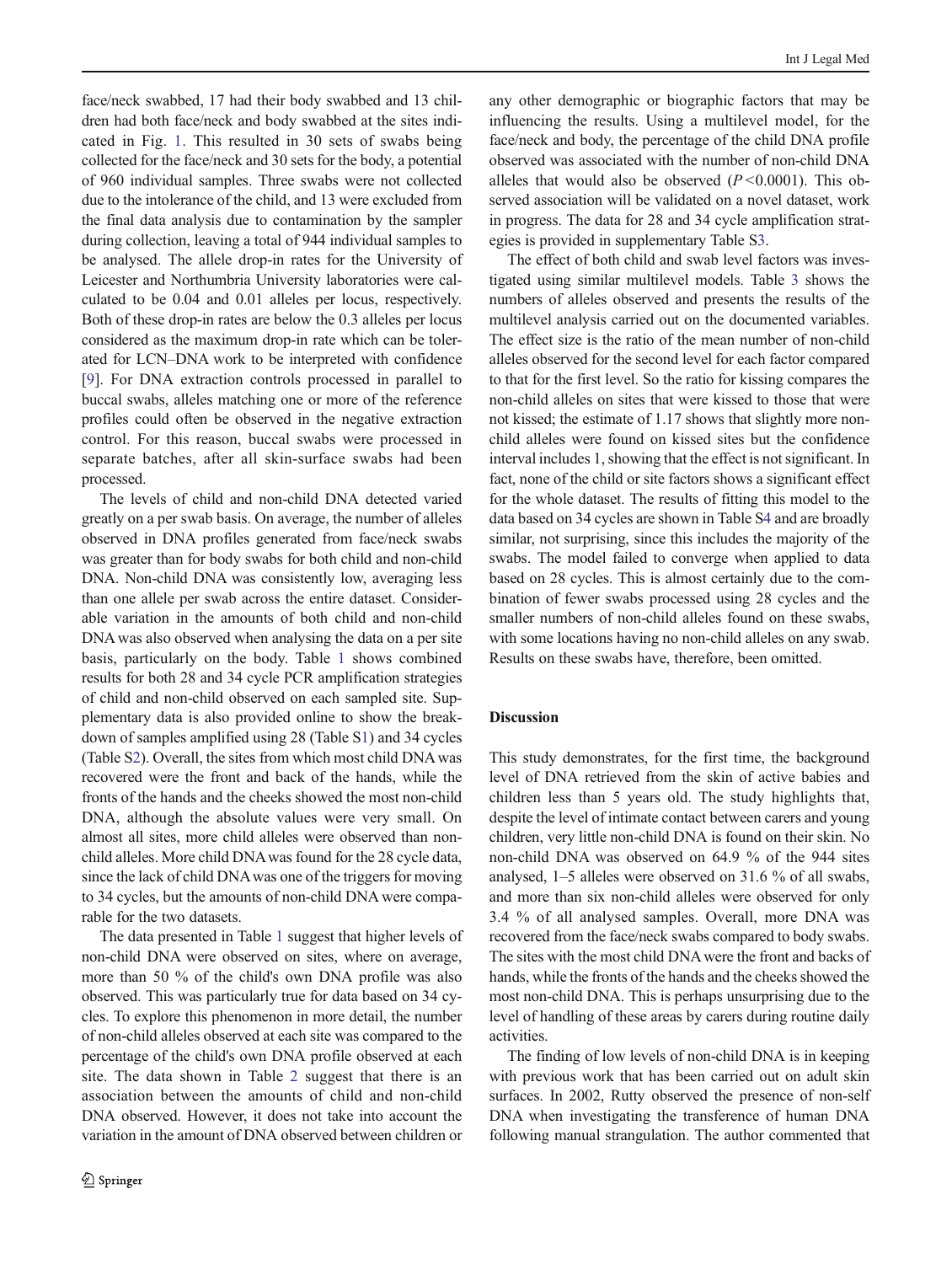$\textcircled{2}$  Springer

processed.

non-child DNA were observed on sites, where on average, more than 50 % of the child's own DNA profile was also observed. This was particularly true for data based on 34 cycles. To explore this phenomenon in more detail, the number of non-child alleles observed at each site was compared to the percentage of the child's own DNA profile observed at each site. The data shown in Table [2](#page-5-0) suggest that there is an association between the amounts of child and non-child DNA observed. However, it does not take into account the variation in the amount of DNA observed between children or

The data presented in Table [1](#page-4-0) suggest that higher levels of

rable for the two datasets.

face/neck swabbed, 17 had their body swabbed and 13 children had both face/neck and body swabbed at the sites indicated in Fig. [1](#page-2-0). This resulted in 30 sets of swabs being collected for the face/neck and 30 sets for the body, a potential of 960 individual samples. Three swabs were not collected due to the intolerance of the child, and 13 were excluded from the final data analysis due to contamination by the sampler during collection, leaving a total of 944 individual samples to be analysed. The allele drop-in rates for the University of Leicester and Northumbria University laboratories were calculated to be 0.04 and 0.01 alleles per locus, respectively. any other demographic or biographic factors that may be influencing the results. Using a multilevel model, for the face/neck and body, the percentage of the child DNA profile observed was associated with the number of non-child DNA alleles that would also be observed  $(P<0.0001)$ . This observed association will be validated on a novel dataset, work in progress. The data for 28 and 34 cycle amplification strategies is provided in supplementary Table S3. The effect of both child and swab level factors was inves-

Both of these drop-in rates are below the 0.3 alleles per locus considered as the maximum drop-in rate which can be tolerated for LCN–DNA work to be interpreted with confidence [\[9](#page-6-0)]. For DNA extraction controls processed in parallel to buccal swabs, alleles matching one or more of the reference profiles could often be observed in the negative extraction control. For this reason, buccal swabs were processed in separate batches, after all skin-surface swabs had been

The levels of child and non-child DNA detected varied greatly on a per swab basis. On average, the number of alleles observed in DNA profiles generated from face/neck swabs was greater than for body swabs for both child and non-child DNA. Non-child DNA was consistently low, averaging less than one allele per swab across the entire dataset. Considerable variation in the amounts of both child and non-child DNA was also observed when analysing the data on a per site basis, particularly on the body. Table [1](#page-4-0) shows combined results for both 28 and 34 cycle PCR amplification strategies of child and non-child observed on each sampled site. Supplementary data is also provided online to show the breakdown of samples amplified using 28 (Table S1) and 34 cycles (Table S2). Overall, the sites from which most child DNA was recovered were the front and back of the hands, while the fronts of the hands and the cheeks showed the most non-child DNA, although the absolute values were very small. On almost all sites, more child alleles were observed than nonchild alleles. More child DNAwas found for the 28 cycle data, since the lack of child DNAwas one of the triggers for moving to 34 cycles, but the amounts of non-child DNA were compatigated using similar multilevel models. Table [3](#page-5-0) shows the numbers of alleles observed and presents the results of the multilevel analysis carried out on the documented variables. The effect size is the ratio of the mean number of non-child alleles observed for the second level for each factor compared to that for the first level. So the ratio for kissing compares the non-child alleles on sites that were kissed to those that were not kissed; the estimate of 1.17 shows that slightly more nonchild alleles were found on kissed sites but the confidence interval includes 1, showing that the effect is not significant. In fact, none of the child or site factors shows a significant effect for the whole dataset. The results of fitting this model to the data based on 34 cycles are shown in Table S4 and are broadly similar, not surprising, since this includes the majority of the swabs. The model failed to converge when applied to data based on 28 cycles. This is almost certainly due to the combination of fewer swabs processed using 28 cycles and the smaller numbers of non-child alleles found on these swabs, with some locations having no non-child alleles on any swab. Results on these swabs have, therefore, been omitted.

# Discussion

This study demonstrates, for the first time, the background level of DNA retrieved from the skin of active babies and children less than 5 years old. The study highlights that, despite the level of intimate contact between carers and young children, very little non-child DNA is found on their skin. No non-child DNA was observed on 64.9 % of the 944 sites analysed, 1–5 alleles were observed on 31.6 % of all swabs, and more than six non-child alleles were observed for only 3.4 % of all analysed samples. Overall, more DNA was recovered from the face/neck swabs compared to body swabs. The sites with the most child DNA were the front and backs of hands, while the fronts of the hands and the cheeks showed the most non-child DNA. This is perhaps unsurprising due to the level of handling of these areas by carers during routine daily activities.

The finding of low levels of non-child DNA is in keeping with previous work that has been carried out on adult skin surfaces. In 2002, Rutty observed the presence of non-self DNA when investigating the transference of human DNA following manual strangulation. The author commented that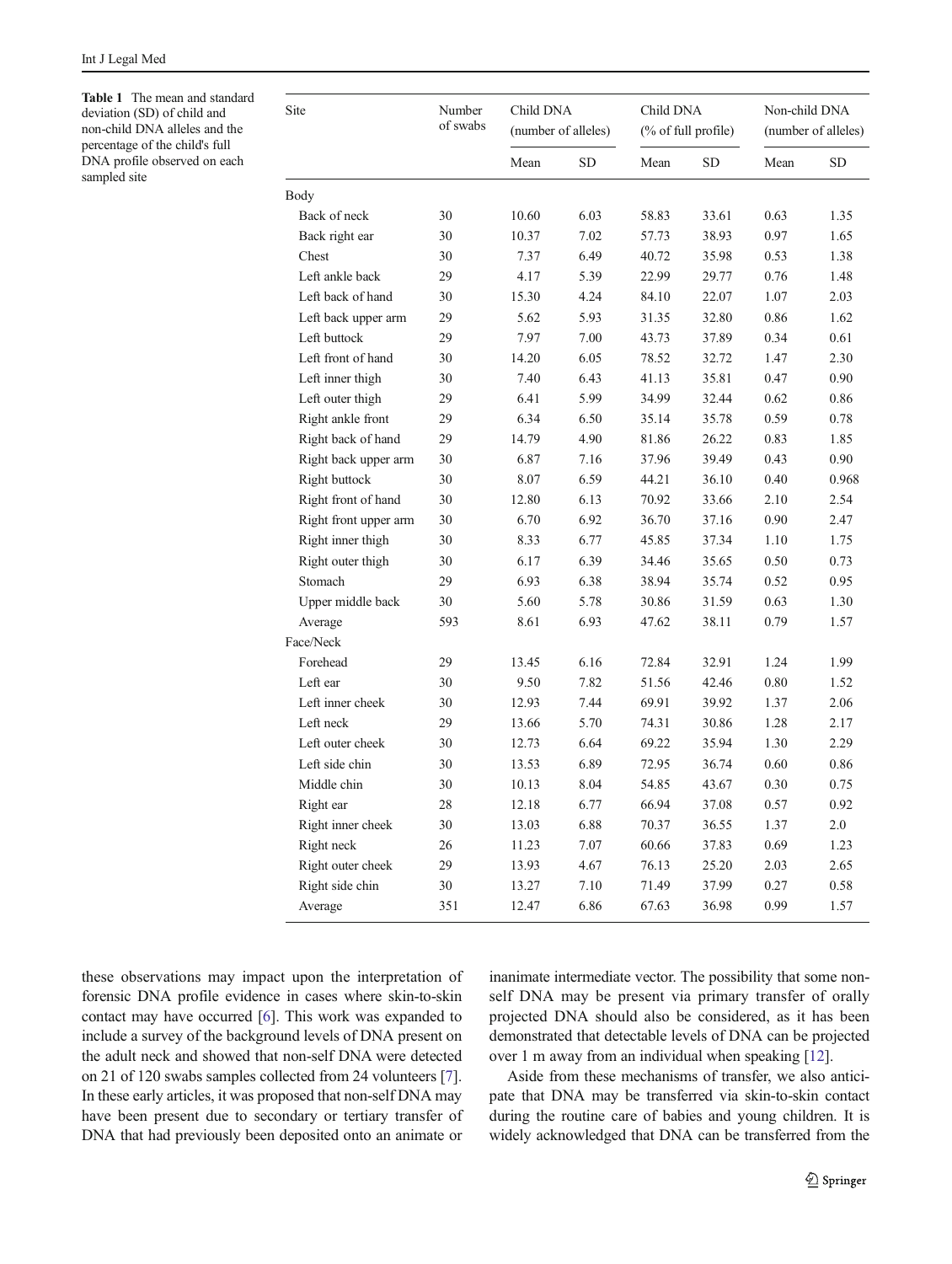<span id="page-4-0"></span>Table 1 The mean and standard deviation (SD) of child and non-child DNA alleles and the percentage of the child's full DNA profile observed on each sampled site

| Site                  | Number<br>of swabs | Child DNA<br>(number of alleles) |           | Child DNA<br>(% of full profile) |       | Non-child DNA<br>(number of alleles) |       |
|-----------------------|--------------------|----------------------------------|-----------|----------------------------------|-------|--------------------------------------|-------|
|                       |                    | Mean                             | <b>SD</b> | Mean                             | SD    | Mean                                 | SD    |
| Body                  |                    |                                  |           |                                  |       |                                      |       |
| Back of neck          | 30                 | 10.60                            | 6.03      | 58.83                            | 33.61 | 0.63                                 | 1.35  |
| Back right ear        | 30                 | 10.37                            | 7.02      | 57.73                            | 38.93 | 0.97                                 | 1.65  |
| Chest                 | 30                 | 7.37                             | 6.49      | 40.72                            | 35.98 | 0.53                                 | 1.38  |
| Left ankle back       | 29                 | 4.17                             | 5.39      | 22.99                            | 29.77 | 0.76                                 | 1.48  |
| Left back of hand     | 30                 | 15.30                            | 4.24      | 84.10                            | 22.07 | 1.07                                 | 2.03  |
| Left back upper arm   | 29                 | 5.62                             | 5.93      | 31.35                            | 32.80 | 0.86                                 | 1.62  |
| Left buttock          | 29                 | 7.97                             | 7.00      | 43.73                            | 37.89 | 0.34                                 | 0.61  |
| Left front of hand    | 30                 | 14.20                            | 6.05      | 78.52                            | 32.72 | 1.47                                 | 2.30  |
| Left inner thigh      | 30                 | 7.40                             | 6.43      | 41.13                            | 35.81 | 0.47                                 | 0.90  |
| Left outer thigh      | 29                 | 6.41                             | 5.99      | 34.99                            | 32.44 | 0.62                                 | 0.86  |
| Right ankle front     | 29                 | 6.34                             | 6.50      | 35.14                            | 35.78 | 0.59                                 | 0.78  |
| Right back of hand    | 29                 | 14.79                            | 4.90      | 81.86                            | 26.22 | 0.83                                 | 1.85  |
| Right back upper arm  | 30                 | 6.87                             | 7.16      | 37.96                            | 39.49 | 0.43                                 | 0.90  |
| Right buttock         | 30                 | 8.07                             | 6.59      | 44.21                            | 36.10 | 0.40                                 | 0.968 |
| Right front of hand   | 30                 | 12.80                            | 6.13      | 70.92                            | 33.66 | 2.10                                 | 2.54  |
| Right front upper arm | 30                 | 6.70                             | 6.92      | 36.70                            | 37.16 | 0.90                                 | 2.47  |
| Right inner thigh     | 30                 | 8.33                             | 6.77      | 45.85                            | 37.34 | 1.10                                 | 1.75  |
| Right outer thigh     | 30                 | 6.17                             | 6.39      | 34.46                            | 35.65 | 0.50                                 | 0.73  |
| Stomach               | 29                 | 6.93                             | 6.38      | 38.94                            | 35.74 | 0.52                                 | 0.95  |
| Upper middle back     | 30                 | 5.60                             | 5.78      | 30.86                            | 31.59 | 0.63                                 | 1.30  |
| Average               | 593                | 8.61                             | 6.93      | 47.62                            | 38.11 | 0.79                                 | 1.57  |
| Face/Neck             |                    |                                  |           |                                  |       |                                      |       |
| Forehead              | 29                 | 13.45                            | 6.16      | 72.84                            | 32.91 | 1.24                                 | 1.99  |
| Left ear              | 30                 | 9.50                             | 7.82      | 51.56                            | 42.46 | 0.80                                 | 1.52  |
| Left inner cheek      | 30                 | 12.93                            | 7.44      | 69.91                            | 39.92 | 1.37                                 | 2.06  |
| Left neck             | 29                 | 13.66                            | 5.70      | 74.31                            | 30.86 | 1.28                                 | 2.17  |
| Left outer cheek      | 30                 | 12.73                            | 6.64      | 69.22                            | 35.94 | 1.30                                 | 2.29  |
| Left side chin        | 30                 | 13.53                            | 6.89      | 72.95                            | 36.74 | 0.60                                 | 0.86  |
| Middle chin           | 30                 | 10.13                            | 8.04      | 54.85                            | 43.67 | 0.30                                 | 0.75  |
| Right ear             | 28                 | 12.18                            | 6.77      | 66.94                            | 37.08 | 0.57                                 | 0.92  |
| Right inner cheek     | 30                 | 13.03                            | 6.88      | 70.37                            | 36.55 | 1.37                                 | 2.0   |
| Right neck            | 26                 | 11.23                            | 7.07      | 60.66                            | 37.83 | 0.69                                 | 1.23  |
| Right outer cheek     | 29                 | 13.93                            | 4.67      | 76.13                            | 25.20 | 2.03                                 | 2.65  |
| Right side chin       | 30                 | 13.27                            | 7.10      | 71.49                            | 37.99 | 0.27                                 | 0.58  |
| Average               | 351                | 12.47                            | 6.86      | 67.63                            | 36.98 | 0.99                                 | 1.57  |

these observations may impact upon the interpretation of forensic DNA profile evidence in cases where skin-to-skin contact may have occurred [\[6](#page-6-0)]. This work was expanded to include a survey of the background levels of DNA present on the adult neck and showed that non-self DNA were detected on 21 of 120 swabs samples collected from 24 volunteers [[7\]](#page-6-0). In these early articles, it was proposed that non-self DNA may have been present due to secondary or tertiary transfer of DNA that had previously been deposited onto an animate or inanimate intermediate vector. The possibility that some nonself DNA may be present via primary transfer of orally projected DNA should also be considered, as it has been demonstrated that detectable levels of DNA can be projected over 1 m away from an individual when speaking [\[12](#page-6-0)].

Aside from these mechanisms of transfer, we also anticipate that DNA may be transferred via skin-to-skin contact during the routine care of babies and young children. It is widely acknowledged that DNA can be transferred from the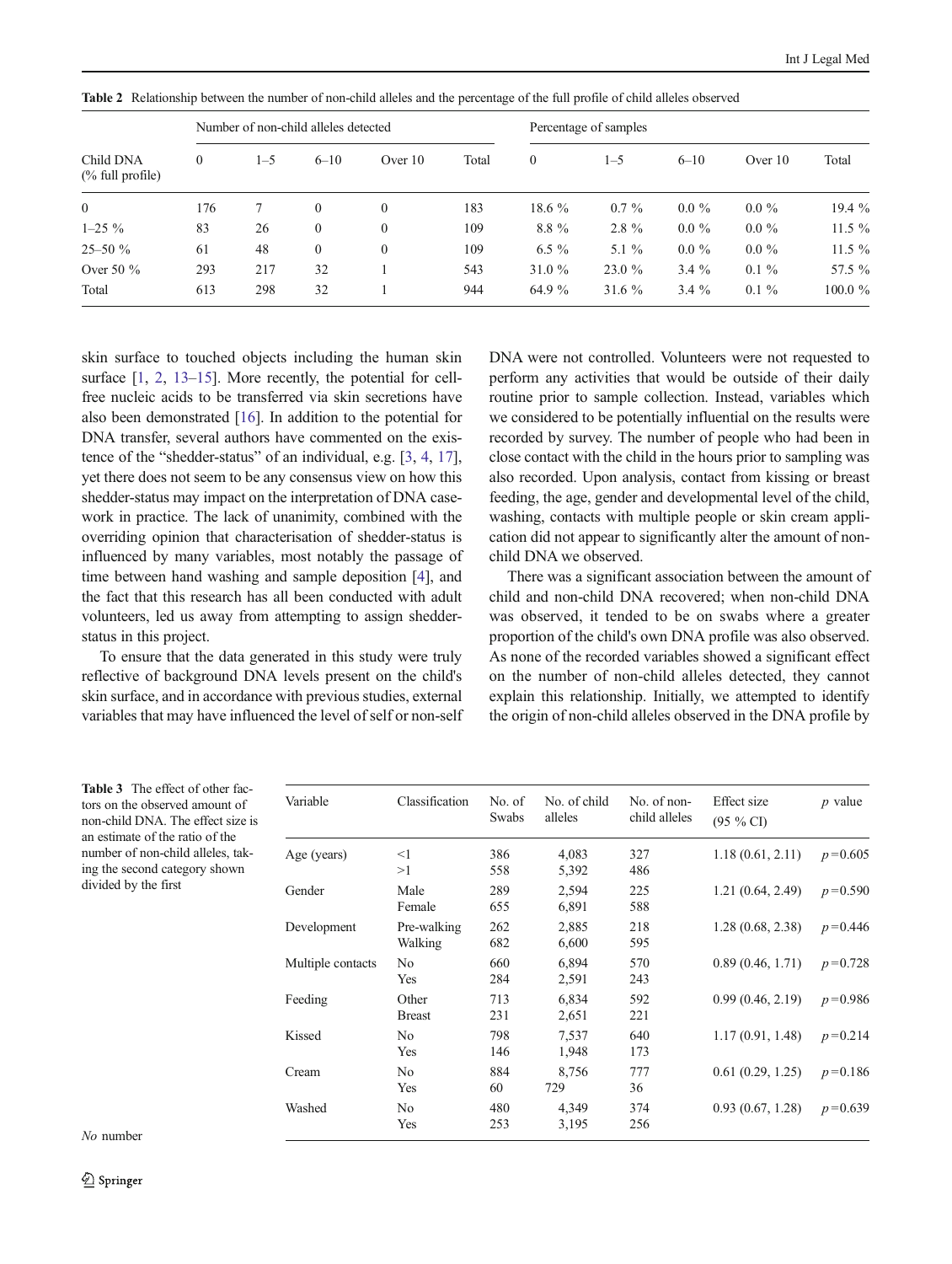| Child DNA<br>$%$ full profile) | Number of non-child alleles detected |         |              |              | Percentage of samples |              |          |          |           |          |
|--------------------------------|--------------------------------------|---------|--------------|--------------|-----------------------|--------------|----------|----------|-----------|----------|
|                                | $\theta$                             | $1 - 5$ | $6 - 10$     | Over $10$    | Total                 | $\mathbf{0}$ | $1 - 5$  | $6 - 10$ | Over $10$ | Total    |
| $\overline{0}$                 | 176                                  |         | $\mathbf{0}$ | $\mathbf{0}$ | 183                   | 18.6 $%$     | $0.7\%$  | $0.0\%$  | $0.0\%$   | 19.4 %   |
| $1-25\%$                       | 83                                   | 26      | $\mathbf{0}$ | $\mathbf{0}$ | 109                   | $8.8\%$      | $2.8 \%$ | $0.0\%$  | $0.0 \%$  | $11.5\%$ |
| $25 - 50 \%$                   | 61                                   | 48      | $\mathbf{0}$ | $\mathbf{0}$ | 109                   | 6.5 $\%$     | 5.1 $\%$ | $0.0\%$  | $0.0\%$   | $11.5\%$ |
| Over 50 $\%$                   | 293                                  | 217     | 32           |              | 543                   | 31.0 $%$     | 23.0 %   | $3.4\%$  | $0.1 \%$  | 57.5 %   |
| Total                          | 613                                  | 298     | 32           |              | 944                   | 64.9 %       | 31.6 $%$ | $3.4\%$  | $0.1\%$   | 100.0 %  |

<span id="page-5-0"></span>Table 2 Relationship between the number of non-child alleles and the percentage of the full profile of child alleles observed

skin surface to touched objects including the human skin surface [[1,](#page-6-0) [2,](#page-6-0) [13](#page-6-0)–[15\]](#page-7-0). More recently, the potential for cellfree nucleic acids to be transferred via skin secretions have also been demonstrated [\[16\]](#page-7-0). In addition to the potential for DNA transfer, several authors have commented on the existence of the "shedder-status" of an individual, e.g. [\[3](#page-6-0), [4](#page-6-0), [17\]](#page-7-0), yet there does not seem to be any consensus view on how this shedder-status may impact on the interpretation of DNA casework in practice. The lack of unanimity, combined with the overriding opinion that characterisation of shedder-status is influenced by many variables, most notably the passage of time between hand washing and sample deposition [\[4\]](#page-6-0), and the fact that this research has all been conducted with adult volunteers, led us away from attempting to assign shedderstatus in this project.

To ensure that the data generated in this study were truly reflective of background DNA levels present on the child's skin surface, and in accordance with previous studies, external variables that may have influenced the level of self or non-self DNA were not controlled. Volunteers were not requested to perform any activities that would be outside of their daily routine prior to sample collection. Instead, variables which we considered to be potentially influential on the results were recorded by survey. The number of people who had been in close contact with the child in the hours prior to sampling was also recorded. Upon analysis, contact from kissing or breast feeding, the age, gender and developmental level of the child, washing, contacts with multiple people or skin cream application did not appear to significantly alter the amount of nonchild DNA we observed.

There was a significant association between the amount of child and non-child DNA recovered; when non-child DNA was observed, it tended to be on swabs where a greater proportion of the child's own DNA profile was also observed. As none of the recorded variables showed a significant effect on the number of non-child alleles detected, they cannot explain this relationship. Initially, we attempted to identify the origin of non-child alleles observed in the DNA profile by

| <b>Table 3</b> The effect of other fac- |  |  |  |  |  |  |
|-----------------------------------------|--|--|--|--|--|--|
| tors on the observed amount of          |  |  |  |  |  |  |
| non-child DNA. The effect size is       |  |  |  |  |  |  |
| an estimate of the ratio of the         |  |  |  |  |  |  |
| number of non-child alleles, tak-       |  |  |  |  |  |  |
| ing the second category shown           |  |  |  |  |  |  |
| divided by the first                    |  |  |  |  |  |  |

| Variable          | Classification         | No. of<br>Swabs | No. of child<br>alleles | No. of non-<br>child alleles | Effect size<br>$(95\% \text{ CI})$ | $p$ value   |
|-------------------|------------------------|-----------------|-------------------------|------------------------------|------------------------------------|-------------|
| Age (years)       | $\leq$ 1<br>>1         | 386<br>558      | 4,083<br>5,392          | 327<br>486                   | 1.18(0.61, 2.11)                   | $p = 0.605$ |
| Gender            | Male<br>Female         | 289<br>655      | 2,594<br>6,891          | 225<br>588                   | 1.21(0.64, 2.49)                   | $p = 0.590$ |
| Development       | Pre-walking<br>Walking | 262<br>682      | 2,885<br>6,600          | 218<br>595                   | 1.28(0.68, 2.38)                   | $p = 0.446$ |
| Multiple contacts | No.<br>Yes             | 660<br>284      | 6,894<br>2,591          | 570<br>243                   | 0.89(0.46, 1.71)                   | $p = 0.728$ |
| Feeding           | Other<br><b>Breast</b> | 713<br>231      | 6,834<br>2,651          | 592<br>221                   | 0.99(0.46, 2.19)                   | $p = 0.986$ |
| Kissed            | No.<br>Yes             | 798<br>146      | 7,537<br>1,948          | 640<br>173                   | 1.17(0.91, 1.48)                   | $p = 0.214$ |
| Cream             | No.<br>Yes             | 884<br>60       | 8,756<br>729            | 777<br>36                    | 0.61(0.29, 1.25)                   | $p = 0.186$ |
| Washed            | No.<br>Yes             | 480<br>253      | 4,349<br>3,195          | 374<br>256                   | 0.93(0.67, 1.28)                   | $p = 0.639$ |

No number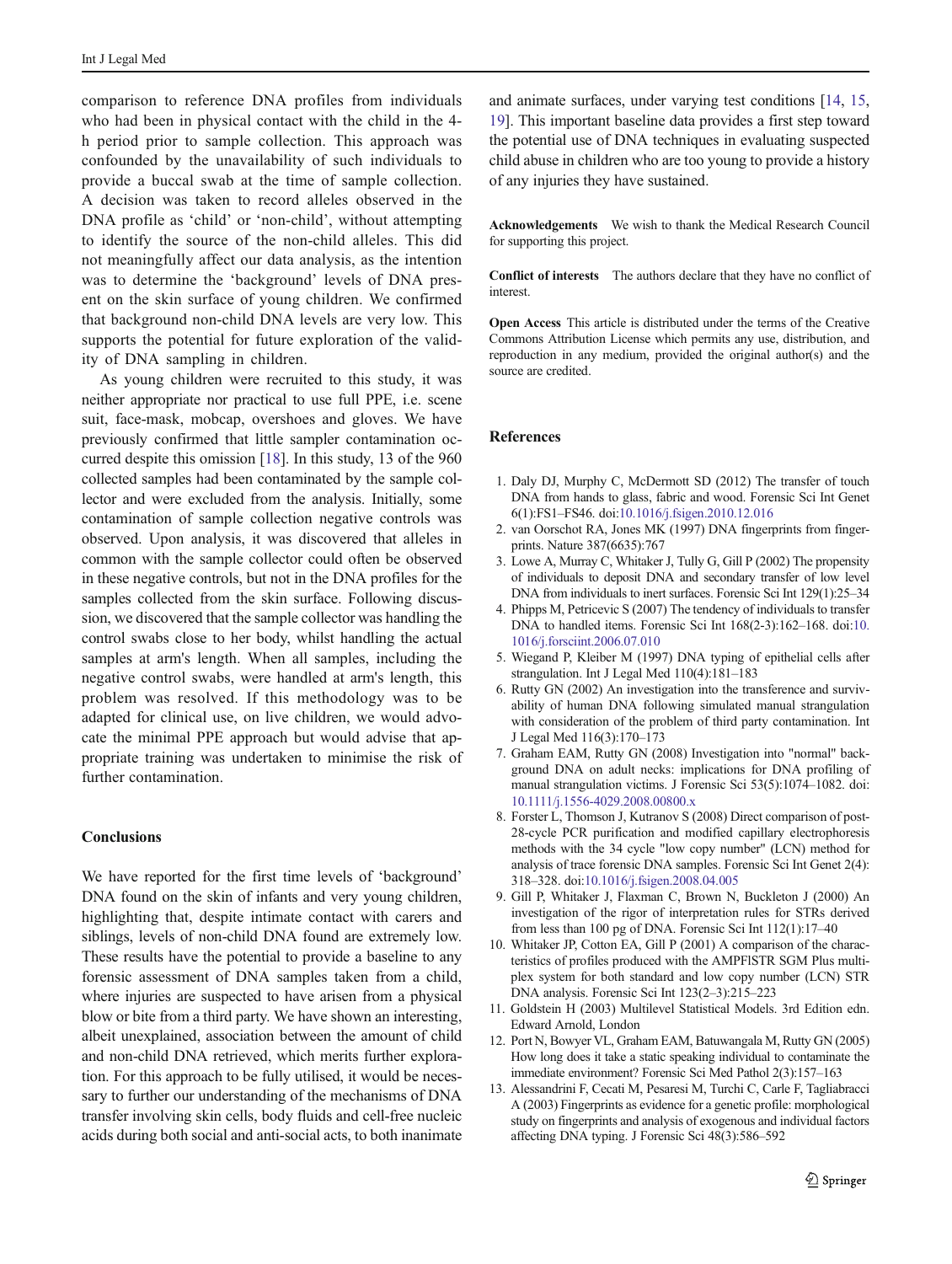<span id="page-6-0"></span>comparison to reference DNA profiles from individuals who had been in physical contact with the child in the 4 h period prior to sample collection. This approach was confounded by the unavailability of such individuals to provide a buccal swab at the time of sample collection. A decision was taken to record alleles observed in the DNA profile as 'child' or 'non-child', without attempting to identify the source of the non-child alleles. This did not meaningfully affect our data analysis, as the intention was to determine the 'background' levels of DNA present on the skin surface of young children. We confirmed that background non-child DNA levels are very low. This supports the potential for future exploration of the validity of DNA sampling in children.

As young children were recruited to this study, it was neither appropriate nor practical to use full PPE, i.e. scene suit, face-mask, mobcap, overshoes and gloves. We have previously confirmed that little sampler contamination occurred despite this omission [[18\]](#page-7-0). In this study, 13 of the 960 collected samples had been contaminated by the sample collector and were excluded from the analysis. Initially, some contamination of sample collection negative controls was observed. Upon analysis, it was discovered that alleles in common with the sample collector could often be observed in these negative controls, but not in the DNA profiles for the samples collected from the skin surface. Following discussion, we discovered that the sample collector was handling the control swabs close to her body, whilst handling the actual samples at arm's length. When all samples, including the negative control swabs, were handled at arm's length, this problem was resolved. If this methodology was to be adapted for clinical use, on live children, we would advocate the minimal PPE approach but would advise that appropriate training was undertaken to minimise the risk of further contamination.

# **Conclusions**

We have reported for the first time levels of 'background' DNA found on the skin of infants and very young children, highlighting that, despite intimate contact with carers and siblings, levels of non-child DNA found are extremely low. These results have the potential to provide a baseline to any forensic assessment of DNA samples taken from a child, where injuries are suspected to have arisen from a physical blow or bite from a third party. We have shown an interesting, albeit unexplained, association between the amount of child and non-child DNA retrieved, which merits further exploration. For this approach to be fully utilised, it would be necessary to further our understanding of the mechanisms of DNA transfer involving skin cells, body fluids and cell-free nucleic acids during both social and anti-social acts, to both inanimate

and animate surfaces, under varying test conditions [\[14](#page-7-0), [15,](#page-7-0) [19\]](#page-7-0). This important baseline data provides a first step toward the potential use of DNA techniques in evaluating suspected child abuse in children who are too young to provide a history of any injuries they have sustained.

Acknowledgements We wish to thank the Medical Research Council for supporting this project.

Conflict of interests The authors declare that they have no conflict of interest.

Open Access This article is distributed under the terms of the Creative Commons Attribution License which permits any use, distribution, and reproduction in any medium, provided the original author(s) and the source are credited.

#### References

- 1. Daly DJ, Murphy C, McDermott SD (2012) The transfer of touch DNA from hands to glass, fabric and wood. Forensic Sci Int Genet 6(1):FS1–FS46. doi[:10.1016/j.fsigen.2010.12.016](http://dx.doi.org/10.1016/j.fsigen.2010.12.016)
- 2. van Oorschot RA, Jones MK (1997) DNA fingerprints from fingerprints. Nature 387(6635):767
- 3. Lowe A, Murray C, Whitaker J, Tully G, Gill P (2002) The propensity of individuals to deposit DNA and secondary transfer of low level DNA from individuals to inert surfaces. Forensic Sci Int 129(1):25–34
- 4. Phipps M, Petricevic S (2007) The tendency of individuals to transfer DNA to handled items. Forensic Sci Int 168(2-3):162–168. doi[:10.](http://dx.doi.org/10.1016/j.forsciint.2006.07.010) [1016/j.forsciint.2006.07.010](http://dx.doi.org/10.1016/j.forsciint.2006.07.010)
- 5. Wiegand P, Kleiber M (1997) DNA typing of epithelial cells after strangulation. Int J Legal Med 110(4):181–183
- 6. Rutty GN (2002) An investigation into the transference and survivability of human DNA following simulated manual strangulation with consideration of the problem of third party contamination. Int J Legal Med 116(3):170–173
- 7. Graham EAM, Rutty GN (2008) Investigation into "normal" background DNA on adult necks: implications for DNA profiling of manual strangulation victims. J Forensic Sci 53(5):1074–1082. doi: [10.1111/j.1556-4029.2008.00800.x](http://dx.doi.org/10.1111/j.1556-4029.2008.00800.x)
- 8. Forster L, Thomson J, Kutranov S (2008) Direct comparison of post-28-cycle PCR purification and modified capillary electrophoresis methods with the 34 cycle "low copy number" (LCN) method for analysis of trace forensic DNA samples. Forensic Sci Int Genet 2(4): 318–328. doi:[10.1016/j.fsigen.2008.04.005](http://dx.doi.org/10.1016/j.fsigen.2008.04.005)
- 9. Gill P, Whitaker J, Flaxman C, Brown N, Buckleton J (2000) An investigation of the rigor of interpretation rules for STRs derived from less than 100 pg of DNA. Forensic Sci Int 112(1):17–40
- 10. Whitaker JP, Cotton EA, Gill P (2001) A comparison of the characteristics of profiles produced with the AMPFlSTR SGM Plus multiplex system for both standard and low copy number (LCN) STR DNA analysis. Forensic Sci Int 123(2–3):215–223
- 11. Goldstein H (2003) Multilevel Statistical Models. 3rd Edition edn. Edward Arnold, London
- 12. Port N, Bowyer VL, Graham EAM, Batuwangala M, Rutty GN (2005) How long does it take a static speaking individual to contaminate the immediate environment? Forensic Sci Med Pathol 2(3):157–163
- 13. Alessandrini F, Cecati M, Pesaresi M, Turchi C, Carle F, Tagliabracci A (2003) Fingerprints as evidence for a genetic profile: morphological study on fingerprints and analysis of exogenous and individual factors affecting DNA typing. J Forensic Sci 48(3):586–592